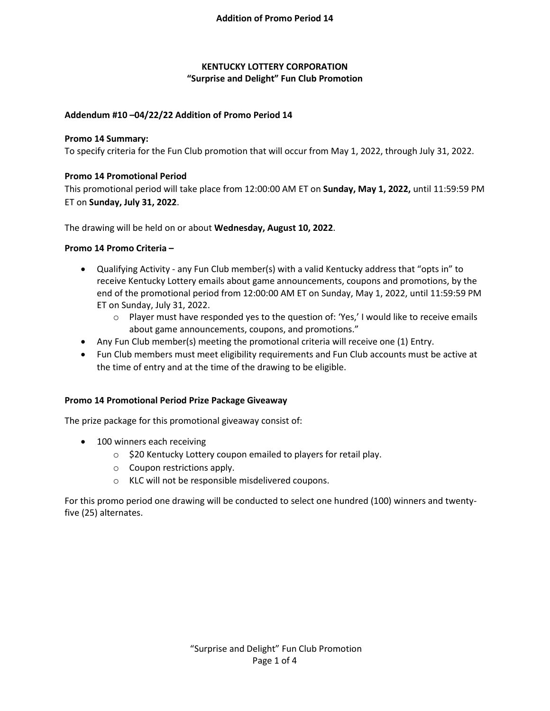# **KENTUCKY LOTTERY CORPORATION "Surprise and Delight" Fun Club Promotion**

# **Addendum #10 –04/22/22 Addition of Promo Period 14**

# **Promo 14 Summary:**

To specify criteria for the Fun Club promotion that will occur from May 1, 2022, through July 31, 2022.

# **Promo 14 Promotional Period**

This promotional period will take place from 12:00:00 AM ET on **Sunday, May 1, 2022,** until 11:59:59 PM ET on **Sunday, July 31, 2022**.

The drawing will be held on or about **Wednesday, August 10, 2022**.

## **Promo 14 Promo Criteria –**

- Qualifying Activity any Fun Club member(s) with a valid Kentucky address that "opts in" to receive Kentucky Lottery emails about game announcements, coupons and promotions, by the end of the promotional period from 12:00:00 AM ET on Sunday, May 1, 2022, until 11:59:59 PM ET on Sunday, July 31, 2022.
	- $\circ$  Player must have responded yes to the question of: 'Yes,' I would like to receive emails about game announcements, coupons, and promotions."
- Any Fun Club member(s) meeting the promotional criteria will receive one (1) Entry.
- Fun Club members must meet eligibility requirements and Fun Club accounts must be active at the time of entry and at the time of the drawing to be eligible.

## **Promo 14 Promotional Period Prize Package Giveaway**

The prize package for this promotional giveaway consist of:

- 100 winners each receiving
	- o \$20 Kentucky Lottery coupon emailed to players for retail play.
	- o Coupon restrictions apply.
	- o KLC will not be responsible misdelivered coupons.

For this promo period one drawing will be conducted to select one hundred (100) winners and twentyfive (25) alternates.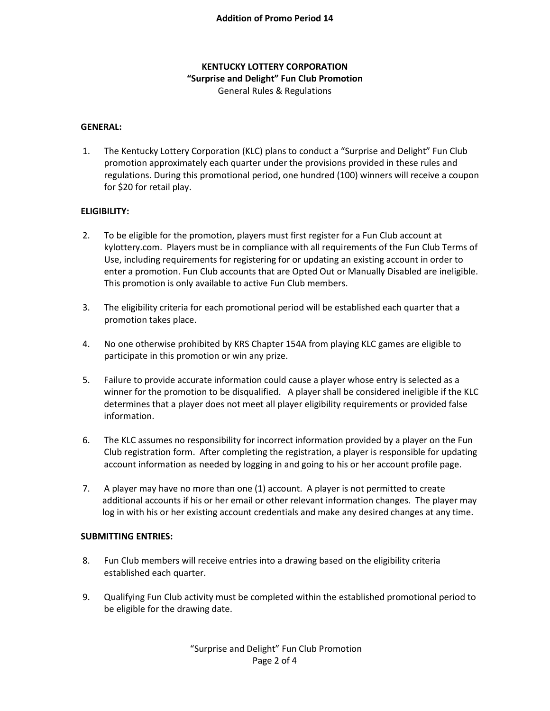# **KENTUCKY LOTTERY CORPORATION "Surprise and Delight" Fun Club Promotion** General Rules & Regulations

### **GENERAL:**

1. The Kentucky Lottery Corporation (KLC) plans to conduct a "Surprise and Delight" Fun Club promotion approximately each quarter under the provisions provided in these rules and regulations. During this promotional period, one hundred (100) winners will receive a coupon for \$20 for retail play.

### **ELIGIBILITY:**

- 2. To be eligible for the promotion, players must first register for a Fun Club account at kylottery.com. Players must be in compliance with all requirements of the Fun Club Terms of Use, including requirements for registering for or updating an existing account in order to enter a promotion. Fun Club accounts that are Opted Out or Manually Disabled are ineligible. This promotion is only available to active Fun Club members.
- 3. The eligibility criteria for each promotional period will be established each quarter that a promotion takes place.
- 4. No one otherwise prohibited by KRS Chapter 154A from playing KLC games are eligible to participate in this promotion or win any prize.
- 5. Failure to provide accurate information could cause a player whose entry is selected as a winner for the promotion to be disqualified. A player shall be considered ineligible if the KLC determines that a player does not meet all player eligibility requirements or provided false information.
- 6. The KLC assumes no responsibility for incorrect information provided by a player on the Fun Club registration form. After completing the registration, a player is responsible for updating account information as needed by logging in and going to his or her account profile page.
- 7. A player may have no more than one (1) account. A player is not permitted to create additional accounts if his or her email or other relevant information changes. The player may log in with his or her existing account credentials and make any desired changes at any time.

#### **SUBMITTING ENTRIES:**

- 8. Fun Club members will receive entries into a drawing based on the eligibility criteria established each quarter.
- 9. Qualifying Fun Club activity must be completed within the established promotional period to be eligible for the drawing date.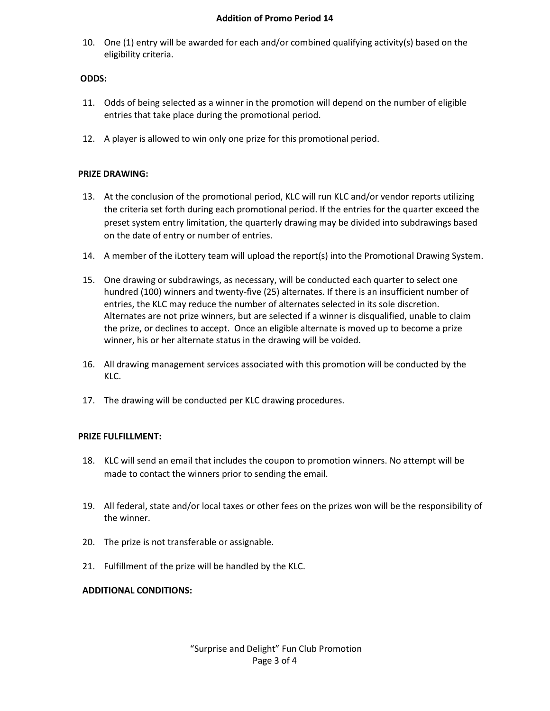#### **Addition of Promo Period 14**

10. One (1) entry will be awarded for each and/or combined qualifying activity(s) based on the eligibility criteria.

### **ODDS:**

- 11. Odds of being selected as a winner in the promotion will depend on the number of eligible entries that take place during the promotional period.
- 12. A player is allowed to win only one prize for this promotional period.

### **PRIZE DRAWING:**

- 13. At the conclusion of the promotional period, KLC will run KLC and/or vendor reports utilizing the criteria set forth during each promotional period. If the entries for the quarter exceed the preset system entry limitation, the quarterly drawing may be divided into subdrawings based on the date of entry or number of entries.
- 14. A member of the iLottery team will upload the report(s) into the Promotional Drawing System.
- 15. One drawing or subdrawings, as necessary, will be conducted each quarter to select one hundred (100) winners and twenty-five (25) alternates. If there is an insufficient number of entries, the KLC may reduce the number of alternates selected in its sole discretion. Alternates are not prize winners, but are selected if a winner is disqualified, unable to claim the prize, or declines to accept. Once an eligible alternate is moved up to become a prize winner, his or her alternate status in the drawing will be voided.
- 16. All drawing management services associated with this promotion will be conducted by the KLC.
- 17. The drawing will be conducted per KLC drawing procedures.

#### **PRIZE FULFILLMENT:**

- 18. KLC will send an email that includes the coupon to promotion winners. No attempt will be made to contact the winners prior to sending the email.
- 19. All federal, state and/or local taxes or other fees on the prizes won will be the responsibility of the winner.
- 20. The prize is not transferable or assignable.
- 21. Fulfillment of the prize will be handled by the KLC.

## **ADDITIONAL CONDITIONS:**